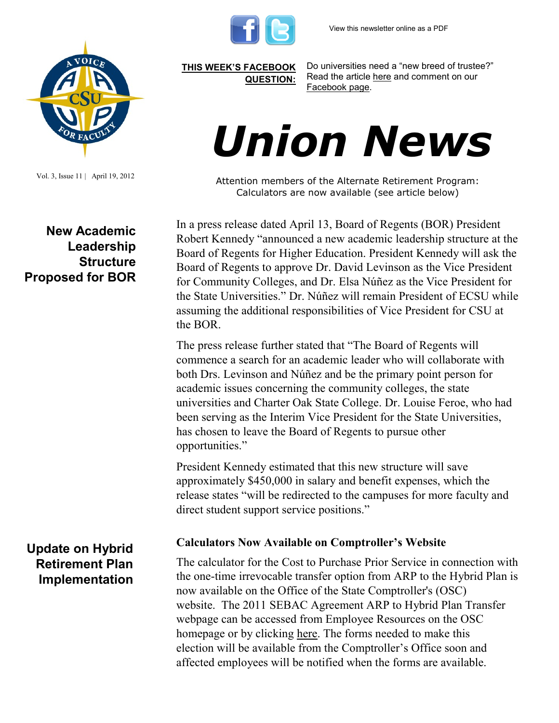



Vol. 3, Issue 11 | April 19, 2012

**[THIS WEEK'S FACEBOOK](http://www.facebook.com/csuaaup#!/pages/CSU-AAUP/112907808749535)  [QUESTION:](http://www.facebook.com/csuaaup#!/pages/CSU-AAUP/112907808749535)**

Do universities need a "new breed of trustee?" Read the article [here](http://www.insidehighered.com/news/2012/04/16/wittkieffer-search-firm-wants-help-universities-find-trustees) and comment on our [Facebook page.](http://www.facebook.com/csuaaup#!/pages/CSU-AAUP/112907808749535) 

# *Union News*

Attention members of the Alternate Retirement Program: Calculators are now available (see article below)

In a press release dated April 13, Board of Regents (BOR) President Robert Kennedy "announced a new academic leadership structure at the Board of Regents for Higher Education. President Kennedy will ask the Board of Regents to approve Dr. David Levinson as the Vice President for Community Colleges, and Dr. Elsa Núñez as the Vice President for the State Universities." Dr. Núñez will remain President of ECSU while assuming the additional responsibilities of Vice President for CSU at the BOR.

The press release further stated that "The Board of Regents will commence a search for an academic leader who will collaborate with both Drs. Levinson and Núñez and be the primary point person for academic issues concerning the community colleges, the state universities and Charter Oak State College. Dr. Louise Feroe, who had been serving as the Interim Vice President for the State Universities, has chosen to leave the Board of Regents to pursue other opportunities."

President Kennedy estimated that this new structure will save approximately \$450,000 in salary and benefit expenses, which the release states "will be redirected to the campuses for more faculty and direct student support service positions."

#### **Calculators Now Available on Comptroller's Website**

The calculator for the Cost to Purchase Prior Service in connection with the one-time irrevocable transfer option from ARP to the Hybrid Plan is now available on the Office of the State Comptroller's (OSC) website. The 2011 SEBAC Agreement ARP to Hybrid Plan Transfer webpage can be accessed from Employee Resources on the OSC homepage or by clicking [here.](http://www.osc.ct.gov/rbsd/arptransfer/disclaimer.htm) The forms needed to make this election will be available from the Comptroller's Office soon and affected employees will be notified when the forms are available.

## **New Academic Leadership Structure Proposed for BOR**

## **Update on Hybrid Retirement Plan Implementation**